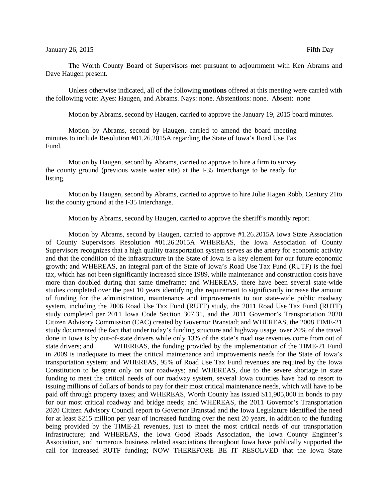The Worth County Board of Supervisors met pursuant to adjournment with Ken Abrams and Dave Haugen present.

Unless otherwise indicated, all of the following **motions** offered at this meeting were carried with the following vote: Ayes: Haugen, and Abrams. Nays: none. Abstentions: none. Absent: none

Motion by Abrams, second by Haugen, carried to approve the January 19, 2015 board minutes.

Motion by Abrams, second by Haugen, carried to amend the board meeting minutes to include Resolution #01.26.2015A regarding the State of Iowa's Road Use Tax Fund.

Motion by Haugen, second by Abrams, carried to approve to hire a firm to survey the county ground (previous waste water site) at the I-35 Interchange to be ready for listing.

Motion by Haugen, second by Abrams, carried to approve to hire Julie Hagen Robb, Century 21to list the county ground at the I-35 Interchange.

Motion by Abrams, second by Haugen, carried to approve the sheriff's monthly report.

Motion by Abrams, second by Haugen, carried to approve #1.26.2015A Iowa State Association of County Supervisors Resolution #01.26.2015A WHEREAS, the Iowa Association of County Supervisors recognizes that a high quality transportation system serves as the artery for economic activity and that the condition of the infrastructure in the State of Iowa is a key element for our future economic growth; and WHEREAS, an integral part of the State of Iowa's Road Use Tax Fund (RUTF) is the fuel tax, which has not been significantly increased since 1989, while maintenance and construction costs have more than doubled during that same timeframe; and WHEREAS, there have been several state-wide studies completed over the past 10 years identifying the requirement to significantly increase the amount of funding for the administration, maintenance and improvements to our state-wide public roadway system, including the 2006 Road Use Tax Fund (RUTF) study, the 2011 Road Use Tax Fund (RUTF) study completed per 2011 Iowa Code Section 307.31, and the 2011 Governor's Transportation 2020 Citizen Advisory Commission (CAC) created by Governor Branstad; and WHEREAS, the 2008 TIME-21 study documented the fact that under today's funding structure and highway usage, over 20% of the travel done in Iowa is by out-of-state drivers while only 13% of the state's road use revenues come from out of state drivers; and WHEREAS, the funding provided by the implementation of the TIME-21 Fund in 2009 is inadequate to meet the critical maintenance and improvements needs for the State of Iowa's transportation system; and WHEREAS, 95% of Road Use Tax Fund revenues are required by the Iowa Constitution to be spent only on our roadways; and WHEREAS, due to the severe shortage in state funding to meet the critical needs of our roadway system, several Iowa counties have had to resort to issuing millions of dollars of bonds to pay for their most critical maintenance needs, which will have to be paid off through property taxes; and WHEREAS, Worth County has issued \$11,905,000 in bonds to pay for our most critical roadway and bridge needs; and WHEREAS, the 2011 Governor's Transportation 2020 Citizen Advisory Council report to Governor Branstad and the Iowa Legislature identified the need for at least \$215 million per year of increased funding over the next 20 years, in addition to the funding being provided by the TIME-21 revenues, just to meet the most critical needs of our transportation infrastructure; and WHEREAS, the Iowa Good Roads Association, the Iowa County Engineer's Association, and numerous business related associations throughout Iowa have publically supported the call for increased RUTF funding; NOW THEREFORE BE IT RESOLVED that the Iowa State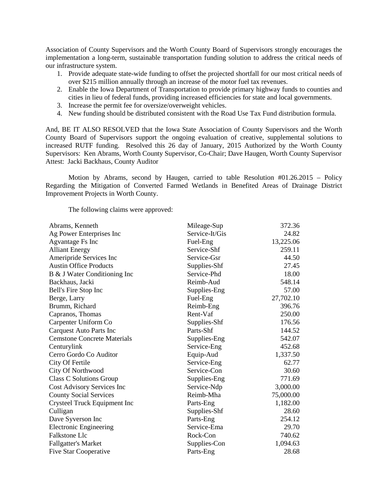Association of County Supervisors and the Worth County Board of Supervisors strongly encourages the implementation a long-term, sustainable transportation funding solution to address the critical needs of our infrastructure system.

- 1. Provide adequate state-wide funding to offset the projected shortfall for our most critical needs of over \$215 million annually through an increase of the motor fuel tax revenues.
- 2. Enable the Iowa Department of Transportation to provide primary highway funds to counties and cities in lieu of federal funds, providing increased efficiencies for state and local governments.
- 3. Increase the permit fee for oversize/overweight vehicles.
- 4. New funding should be distributed consistent with the Road Use Tax Fund distribution formula.

And, BE IT ALSO RESOLVED that the Iowa State Association of County Supervisors and the Worth County Board of Supervisors support the ongoing evaluation of creative, supplemental solutions to increased RUTF funding. Resolved this 26 day of January, 2015 Authorized by the Worth County Supervisors: Ken Abrams, Worth County Supervisor, Co-Chair; Dave Haugen, Worth County Supervisor Attest: Jacki Backhaus, County Auditor

Motion by Abrams, second by Haugen, carried to table Resolution #01.26.2015 – Policy Regarding the Mitigation of Converted Farmed Wetlands in Benefited Areas of Drainage District Improvement Projects in Worth County.

The following claims were approved:

| Mileage-Sup    | 372.36    |
|----------------|-----------|
| Service-It/Gis | 24.82     |
| Fuel-Eng       | 13,225.06 |
| Service-Shf    | 259.11    |
| Service-Gsr    | 44.50     |
| Supplies-Shf   | 27.45     |
| Service-Phd    | 18.00     |
| Reimb-Aud      | 548.14    |
| Supplies-Eng   | 57.00     |
| Fuel-Eng       | 27,702.10 |
| Reimb-Eng      | 396.76    |
| Rent-Vaf       | 250.00    |
| Supplies-Shf   | 176.56    |
| Parts-Shf      | 144.52    |
| Supplies-Eng   | 542.07    |
| Service-Eng    | 452.68    |
| Equip-Aud      | 1,337.50  |
| Service-Eng    | 62.77     |
| Service-Con    | 30.60     |
| Supplies-Eng   | 771.69    |
| Service-Ndp    | 3,000.00  |
| Reimb-Mha      | 75,000.00 |
| Parts-Eng      | 1,182.00  |
| Supplies-Shf   | 28.60     |
| Parts-Eng      | 254.12    |
| Service-Ema    | 29.70     |
| Rock-Con       | 740.62    |
| Supplies-Con   | 1,094.63  |
| Parts-Eng      | 28.68     |
|                |           |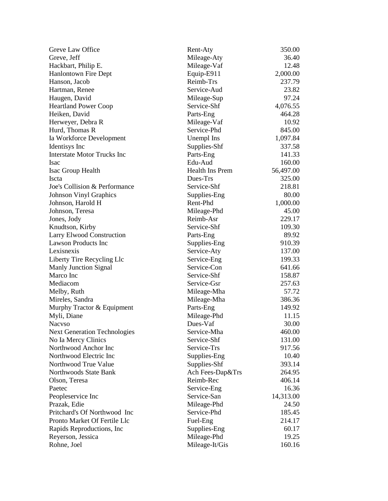| Greve Law Office                    | Rent-Aty               | 350.00           |
|-------------------------------------|------------------------|------------------|
| Greve, Jeff                         | Mileage-Aty            | 36.40            |
| Hackbart, Philip E.                 | Mileage-Vaf            | 12.48            |
| <b>Hanlontown Fire Dept</b>         | Equip-E911             | 2,000.00         |
| Hanson, Jacob                       | Reimb-Trs              | 237.79           |
| Hartman, Renee                      | Service-Aud            | 23.82            |
| Haugen, David                       | Mileage-Sup            | 97.24            |
| <b>Heartland Power Coop</b>         | Service-Shf            | 4,076.55         |
| Heiken, David                       | Parts-Eng              | 464.28           |
| Herweyer, Debra R                   | Mileage-Vaf            | 10.92            |
| Hurd, Thomas R                      | Service-Phd            | 845.00           |
| Ia Workforce Development            | Unempl Ins             | 1,097.84         |
| Identisys Inc                       | Supplies-Shf           | 337.58           |
| <b>Interstate Motor Trucks Inc</b>  | Parts-Eng              | 141.33           |
| Isac                                | Edu-Aud                | 160.00           |
| Isac Group Health                   | <b>Health Ins Prem</b> | 56,497.00        |
| Iscta                               | Dues-Trs               | 325.00           |
| Joe's Collision & Performance       | Service-Shf            | 218.81           |
| <b>Johnson Vinyl Graphics</b>       | Supplies-Eng           | 80.00            |
| Johnson, Harold H                   | Rent-Phd               | 1,000.00         |
| Johnson, Teresa                     | Mileage-Phd            | 45.00            |
| Jones, Jody                         | Reimb-Asr              | 229.17           |
| Knudtson, Kirby                     | Service-Shf            | 109.30           |
| <b>Larry Elwood Construction</b>    |                        | 89.92            |
| <b>Lawson Products Inc</b>          | Parts-Eng              |                  |
| Lexisnexis                          | Supplies-Eng           | 910.39<br>137.00 |
|                                     | Service-Aty            |                  |
| Liberty Tire Recycling Llc          | Service-Eng            | 199.33           |
| <b>Manly Junction Signal</b>        | Service-Con            | 641.66           |
| Marco Inc                           | Service-Shf            | 158.87           |
| Mediacom                            | Service-Gsr            | 257.63           |
| Melby, Ruth                         | Mileage-Mha            | 57.72            |
| Mireles, Sandra                     | Mileage-Mha            | 386.36           |
| Murphy Tractor & Equipment          | Parts-Eng              | 149.92           |
| Myli, Diane                         | Mileage-Phd            | 11.15            |
| <b>Nacyso</b>                       | Dues-Vaf               | 30.00            |
| <b>Next Generation Technologies</b> | Service-Mha            | 460.00           |
| No Ia Mercy Clinics                 | Service-Shf            | 131.00           |
| Northwood Anchor Inc                | Service-Trs            | 917.56           |
| Northwood Electric Inc              | Supplies-Eng           | 10.40            |
| Northwood True Value                | Supplies-Shf           | 393.14           |
| Northwoods State Bank               | Ach Fees-Dap&Trs       | 264.95           |
| Olson, Teresa                       | Reimb-Rec              | 406.14           |
| Paetec                              | Service-Eng            | 16.36            |
| Peopleservice Inc                   | Service-San            | 14,313.00        |
| Prazak, Edie                        | Mileage-Phd            | 24.50            |
| Pritchard's Of Northwood Inc        | Service-Phd            | 185.45           |
| Pronto Market Of Fertile Llc        | Fuel-Eng               | 214.17           |
| Rapids Reproductions, Inc           | Supplies-Eng           | 60.17            |
| Reyerson, Jessica                   | Mileage-Phd            | 19.25            |
| Rohne, Joel                         | Mileage-It/Gis         | 160.16           |